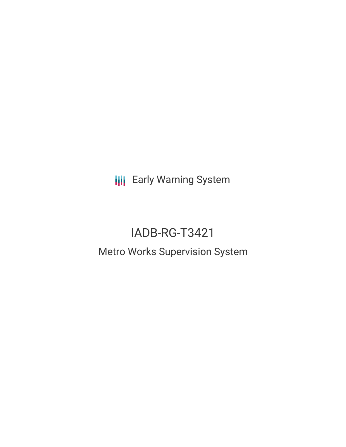**III** Early Warning System

# IADB-RG-T3421 Metro Works Supervision System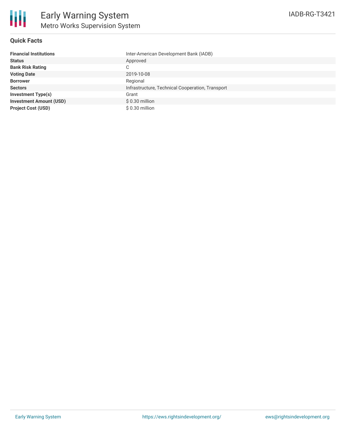

## **Quick Facts**

| <b>Financial Institutions</b>  | Inter-American Development Bank (IADB)           |
|--------------------------------|--------------------------------------------------|
| <b>Status</b>                  | Approved                                         |
| <b>Bank Risk Rating</b>        | ⌒<br>◡                                           |
| <b>Voting Date</b>             | 2019-10-08                                       |
| <b>Borrower</b>                | Regional                                         |
| <b>Sectors</b>                 | Infrastructure, Technical Cooperation, Transport |
| <b>Investment Type(s)</b>      | Grant                                            |
| <b>Investment Amount (USD)</b> | $$0.30$ million                                  |
| <b>Project Cost (USD)</b>      | $$0.30$ million                                  |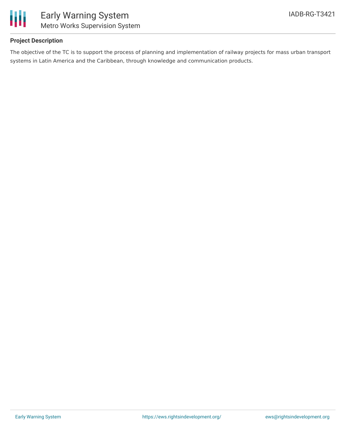

## **Project Description**

The objective of the TC is to support the process of planning and implementation of railway projects for mass urban transport systems in Latin America and the Caribbean, through knowledge and communication products.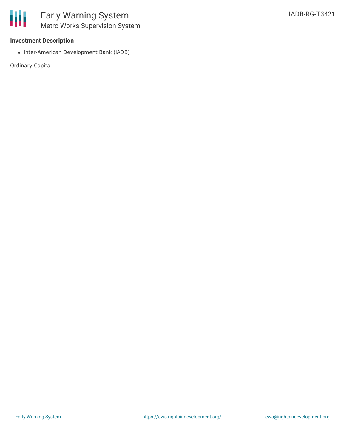

### **Investment Description**

• Inter-American Development Bank (IADB)

Ordinary Capital